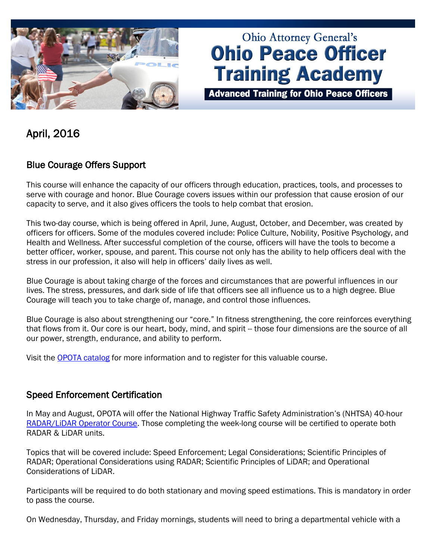

# **Ohio Attorney General's Ohio Peace Officer Training Academy**

**Advanced Training for Ohio Peace Officers** 

April, 2016

# Blue Courage Offers Support

This course will enhance the capacity of our officers through education, practices, tools, and processes to serve with courage and honor. Blue Courage covers issues within our profession that cause erosion of our capacity to serve, and it also gives officers the tools to help combat that erosion.

This two-day course, which is being offered in April, June, August, October, and December, was created by officers for officers. Some of the modules covered include: Police Culture, Nobility, Positive Psychology, and Health and Wellness. After successful completion of the course, officers will have the tools to become a better officer, worker, spouse, and parent. This course not only has the ability to help officers deal with the stress in our profession, it also will help in officers' daily lives as well.

Blue Courage is about taking charge of the forces and circumstances that are powerful influences in our lives. The stress, pressures, and dark side of life that officers see all influence us to a high degree. Blue Courage will teach you to take charge of, manage, and control those influences.

Blue Courage is also about strengthening our "core." In fitness strengthening, the core reinforces everything that flows from it. Our core is our heart, body, mind, and spirit -- those four dimensions are the source of all our power, strength, endurance, and ability to perform.

Visit the [OPOTA catalog](http://www.ohioattorneygeneral.gov/Law-Enforcement/Ohio-Peace-Officer-Training-Academy/Course-Catalog/Course-Categories/Fitness-Wellness-Courses/Blue-Courage) for more information and to register for this valuable course.

## Speed Enforcement Certification

In May and August, OPOTA will offer the National Highway Traffic Safety Administration's (NHTSA) 40-hour [RADAR/LiDAR Operator Course.](http://www.ohioattorneygeneral.gov/Law-Enforcement/Ohio-Peace-Officer-Training-Academy/Course-Catalog/Course-Categories/Traffic-Courses#OPOTA81) Those completing the week-long course will be certified to operate both RADAR & LiDAR units.

Topics that will be covered include: Speed Enforcement; Legal Considerations; Scientific Principles of RADAR; Operational Considerations using RADAR; Scientific Principles of LiDAR; and Operational Considerations of LiDAR.

Participants will be required to do both stationary and moving speed estimations. This is mandatory in order to pass the course.

On Wednesday, Thursday, and Friday mornings, students will need to bring a departmental vehicle with a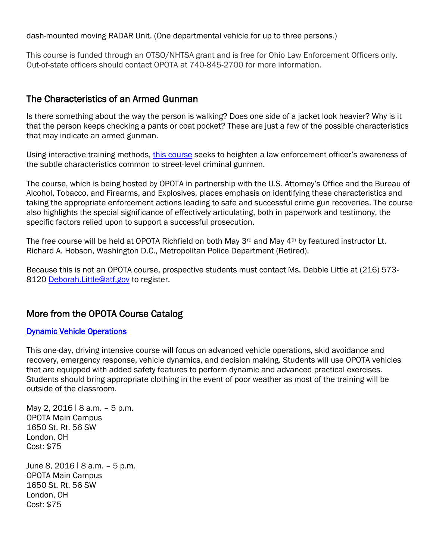dash-mounted moving RADAR Unit. (One departmental vehicle for up to three persons.)

This course is funded through an OTSO/NHTSA grant and is free for Ohio Law Enforcement Officers only. Out-of-state officers should contact OPOTA at 740-845-2700 for more information.

## The Characteristics of an Armed Gunman

Is there something about the way the person is walking? Does one side of a jacket look heavier? Why is it that the person keeps checking a pants or coat pocket? These are just a few of the possible characteristics that may indicate an armed gunman.

Using interactive training methods, [this course](http://www.ohioattorneygeneral.gov/Law-Enforcement/Ohio-Peace-Officer-Training-Academy/Course-Catalog/Course-Categories/Investigations-Courses/The-Characteristics-of-an-Armed-Gunman) seeks to heighten a law enforcement officer's awareness of the subtle characteristics common to street-level criminal gunmen.

The course, which is being hosted by OPOTA in partnership with the U.S. Attorney's Office and the Bureau of Alcohol, Tobacco, and Firearms, and Explosives, places emphasis on identifying these characteristics and taking the appropriate enforcement actions leading to safe and successful crime gun recoveries. The course also highlights the special significance of effectively articulating, both in paperwork and testimony, the specific factors relied upon to support a successful prosecution.

The free course will be held at OPOTA Richfield on both May 3<sup>rd</sup> and May 4<sup>th</sup> by featured instructor Lt. Richard A. Hobson, Washington D.C., Metropolitan Police Department (Retired).

Because this is not an OPOTA course, prospective students must contact Ms. Debbie Little at (216) 573- 8120 [Deborah.Little@atf.gov](mailto:Deborah.Little@atf.gov) to register.

# More from the OPOTA Course Catalog

### **Dynamic Vehicle Operations**

This one-day, driving intensive course will focus on advanced vehicle operations, skid avoidance and recovery, emergency response, vehicle dynamics, and decision making. Students will use OPOTA vehicles that are equipped with added safety features to perform dynamic and advanced practical exercises. Students should bring appropriate clothing in the event of poor weather as most of the training will be outside of the classroom.

May 2, 2016 | 8 a.m. - 5 p.m. OPOTA Main Campus 1650 St. Rt. 56 SW London, OH Cost: \$75

June 8, 2016 | 8 a.m. - 5 p.m. OPOTA Main Campus 1650 St. Rt. 56 SW London, OH Cost: \$75